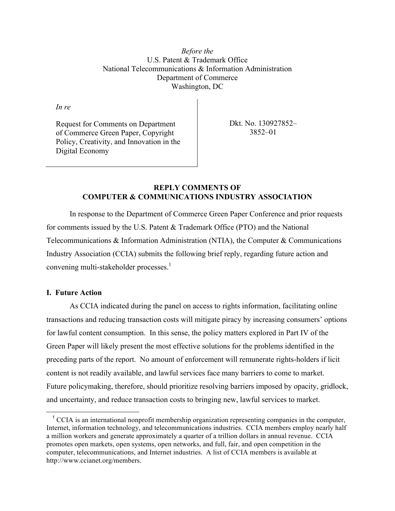*Before the* U.S. Patent & Trademark Office National Telecommunications & Information Administration Department of Commerce Washington, DC

*In re* 

Request for Comments on Department of Commerce Green Paper, Copyright Policy, Creativity, and Innovation in the Digital Economy

Dkt. No. 130927852– 3852–01

## **REPLY COMMENTS OF COMPUTER & COMMUNICATIONS INDUSTRY ASSOCIATION**

In response to the Department of Commerce Green Paper Conference and prior requests for comments issued by the U.S. Patent & Trademark Office (PTO) and the National Telecommunications & Information Administration (NTIA), the Computer & Communications Industry Association (CCIA) submits the following brief reply, regarding future action and convening multi-stakeholder processes. $<sup>1</sup>$ </sup>

## **I. Future Action**

 

As CCIA indicated during the panel on access to rights information, facilitating online transactions and reducing transaction costs will mitigate piracy by increasing consumers' options for lawful content consumption. In this sense, the policy matters explored in Part IV of the Green Paper will likely present the most effective solutions for the problems identified in the preceding parts of the report. No amount of enforcement will remunerate rights-holders if licit content is not readily available, and lawful services face many barriers to come to market. Future policymaking, therefore, should prioritize resolving barriers imposed by opacity, gridlock, and uncertainty, and reduce transaction costs to bringing new, lawful services to market.

<sup>&</sup>lt;sup>1</sup> CCIA is an international nonprofit membership organization representing companies in the computer, Internet, information technology, and telecommunications industries. CCIA members employ nearly half a million workers and generate approximately a quarter of a trillion dollars in annual revenue. CCIA promotes open markets, open systems, open networks, and full, fair, and open competition in the computer, telecommunications, and Internet industries. A list of CCIA members is available at http://www.ccianet.org/members.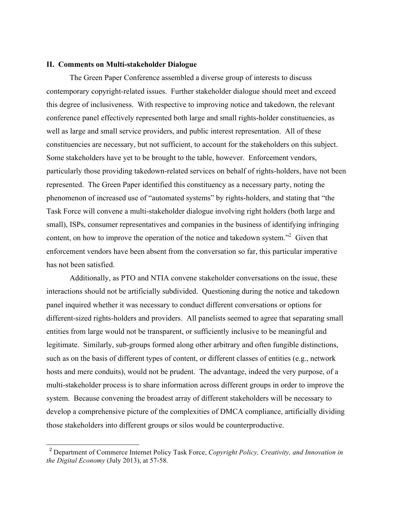## **II. Comments on Multi-stakeholder Dialogue**

The Green Paper Conference assembled a diverse group of interests to discuss contemporary copyright-related issues. Further stakeholder dialogue should meet and exceed this degree of inclusiveness. With respective to improving notice and takedown, the relevant conference panel effectively represented both large and small rights-holder constituencies, as well as large and small service providers, and public interest representation. All of these constituencies are necessary, but not sufficient, to account for the stakeholders on this subject. Some stakeholders have yet to be brought to the table, however. Enforcement vendors, particularly those providing takedown-related services on behalf of rights-holders, have not been represented. The Green Paper identified this constituency as a necessary party, noting the phenomenon of increased use of "automated systems" by rights-holders, and stating that "the Task Force will convene a multi-stakeholder dialogue involving right holders (both large and small), ISPs, consumer representatives and companies in the business of identifying infringing content, on how to improve the operation of the notice and takedown system.<sup>32</sup> Given that enforcement vendors have been absent from the conversation so far, this particular imperative has not been satisfied.

Additionally, as PTO and NTIA convene stakeholder conversations on the issue, these interactions should not be artificially subdivided. Questioning during the notice and takedown panel inquired whether it was necessary to conduct different conversations or options for different-sized rights-holders and providers. All panelists seemed to agree that separating small entities from large would not be transparent, or sufficiently inclusive to be meaningful and legitimate. Similarly, sub-groups formed along other arbitrary and often fungible distinctions, such as on the basis of different types of content, or different classes of entities (e.g., network hosts and mere conduits), would not be prudent. The advantage, indeed the very purpose, of a multi-stakeholder process is to share information across different groups in order to improve the system. Because convening the broadest array of different stakeholders will be necessary to develop a comprehensive picture of the complexities of DMCA compliance, artificially dividing those stakeholders into different groups or silos would be counterproductive.

 <sup>2</sup> Department of Commerce Internet Policy Task Force, *Copyright Policy, Creativity, and Innovation in the Digital Economy* (July 2013), at 57-58.